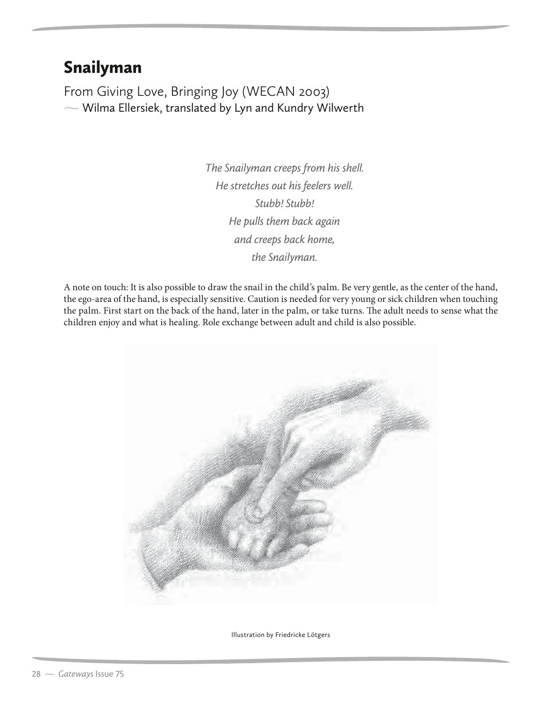## Snailyman

 $\sim$  Wilma Ellersiek, translated by Lyn and Kundry Wilwerth

*The Snailyman creeps from his shell. He stretches out his feelers well. Stubb! Stubb! He pulls them back again and creeps back home, the Snailyman.*

A note on touch: It is also possible to draw the snail in the child's palm. Be very gentle, as the center of the hand, the ego-area of the hand, is especially sensitive. Caution is needed for very young or sick children when touching the palm. First start on the back of the hand, later in the palm, or take turns. The adult needs to sense what the children enjoy and what is healing. Role exchange between adult and child is also possible.



Illustration by Friedricke Lötgers